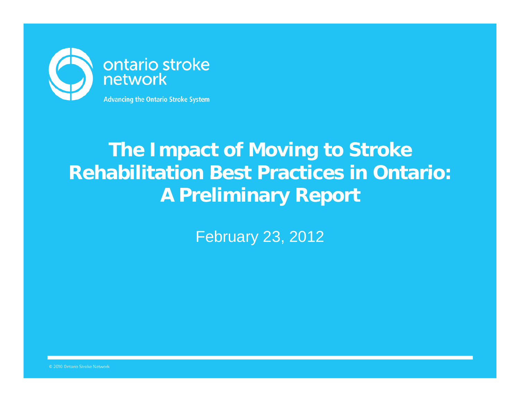

## **The Impact of Moving to Stroke Rehabilitation Best Practices in Ontario:A Preliminary Report**

February 23, 2012

© 2010 Ontario Stroke Network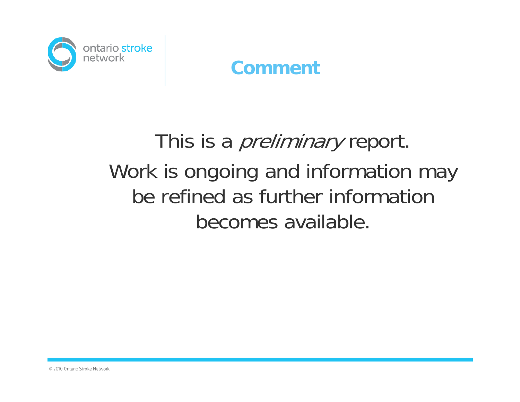

#### **Comment**

## This is a *preliminary* report. Work is ongoing and information may be refined as further information becomes available.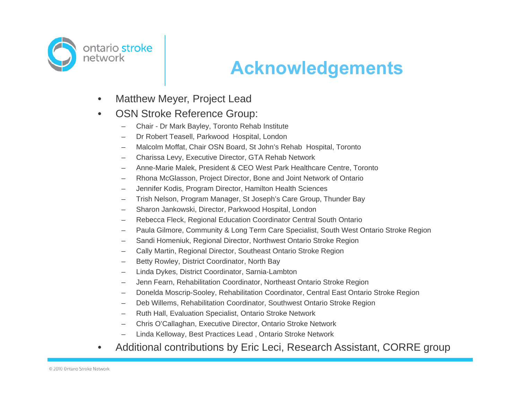

#### **Ac <sup>o</sup> edge <sup>e</sup> ts knowledgements**

•Matthew Meyer, Project Lead

#### •OSN Stroke Reference Group:

- –Chair - Dr Mark Bayley, Toronto Rehab Institute
- –Dr Robert Teasell, Parkwood Hospital, London
- –Malcolm Moffat, Chair OSN Board, St John's Rehab Hospital, Toronto
- –Charissa Levy, Executive Director, GTA Rehab Network
- –Anne-Marie Malek, President & CEO West Park Healthcare Centre, Toronto
- –Rhona McGlasson, Project Director, Bone and Joint Network of Ontario
- Jennifer Kodis, Program Director, Hamilton Health Sciences
- –Trish Nelson, Program Manager, St Joseph's Care Group, Thunder Bay
- –Sharon Jankowski, Director, Parkwood Hospital, London
- –Rebecca Fleck, Regional Education Coordinator Central South Ontario
- –Paula Gilmore, Community & Long Term Care Specialist, South West Ontario Stroke Region
- –Sandi Homeniuk, Regional Director, Northwest Ontario Stroke Region
- Cally Martin, Regional Director, Southeast Ontario Stroke Region
- –Betty Rowley, District Coordinator, North Bay
- Linda Dykes, District Coordinator, Sarnia-Lambton
- –Jenn Fearn, Rehabilitation Coordinator, Northeast Ontario Stroke Region
- –Donelda Moscrip-Sooley, Rehabilitation Coordinator, Central East Ontario Stroke Region
- –Deb Willems, Rehabilitation Coordinator, Southwest Ontario Stroke Region
- –Ruth Hall, Evaluation Specialist, Ontario Stroke Network
- –Chris O'Callaghan, Executive Director, Ontario Stroke Network
- –Linda Kelloway, Best Practices Lead , Ontario Stroke Network
- •Additional contributions by Eric Leci, Research Assistant, CORRE group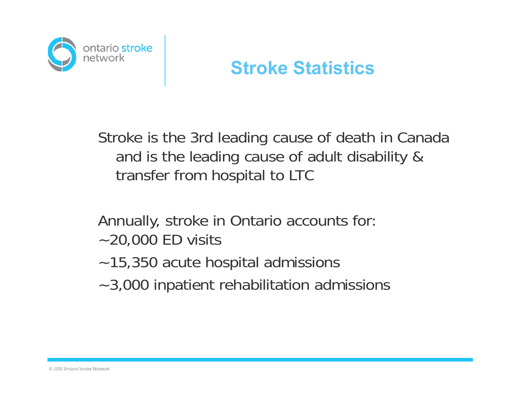

#### **St o e Stat st cs roke Statistics**

Stroke is the 3rd leading cause of death in Canada and is the leading cause of adult disability & transfer from hospital to LTC

Annually, stroke in Ontario accounts for: ~20,000 ED visits

- ~15,350 acute hospital admissions
- ~3,000 inpatient rehabilitation admissions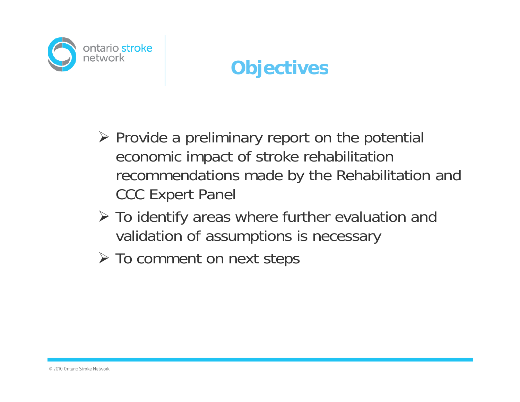

## **Objectives**

- $\triangleright$  Provide a preliminary report on the potential economic impact of stroke rehabilitation recommendations made by the Rehabilitation and CCC Expert Panel
- To identify areas where further evaluation and validation of assumptions is necessary
- > To comment on next steps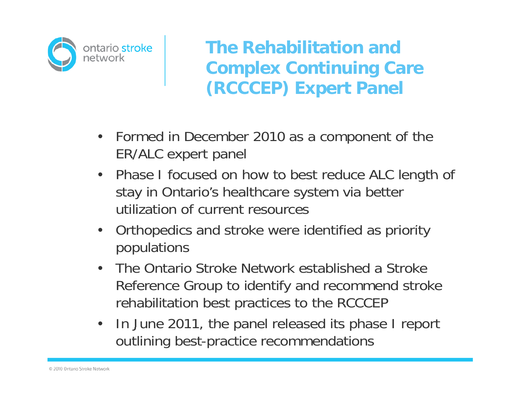

**The Rehabilitation and Complex Continuing Care (RCCCEP) Expert Panel**

- Formed in December 2010 as a component of the ER/ALC expert panel
- Phase I focused on how to best reduce ALC length of stay in Ontario's healthcare system via better utilization of current resources
- $\bullet$ • Orthopedics and stroke were identified as priority populations
- $\bullet$  The Ontario Stroke Network established a Stroke Reference Group to identify and recommend stroke rehabilitation best practices to the RCCCEP
- • In June 2011, the panel released its phase I report outlining best-practice recommendations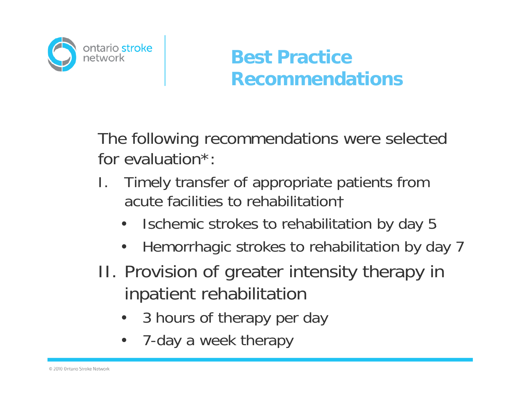

## **Best Practice R d ti ecommendations**

The following recommendations were selected for evaluation\*:

- I.. Timely transfer of appropriate patients from acute facilities to rehabilitation†
	- •Ischemic strokes to rehabilitation by day 5
	- $\bullet$ Hemorrhagic strokes to rehabilitation by day 7
- II. Provision of greater intensity therapy in inpatient rehabilitation
	- •3 hours of therapy per day
	- •7-day a week therapy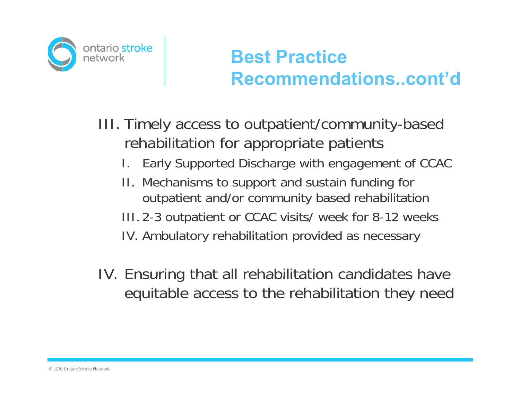

## **Best Practice R d ti t'd Recommendations..cont'd**

- III. Timely access to outpatient/community-based rehabilitation for appropriate patients
	- I. Early Supported Discharge with engagement of CCAC
	- II. Mechanisms to support and sustain funding for outpatient and/or community based rehabilitation
	- III.2-3 outpatient or CCAC visits/ week for 8-12 weeks
	- IV. Ambulatory rehabilitation provided as necessary
- IV. Ensuring that all rehabilitation candidates have equitable access to the rehabilitation they need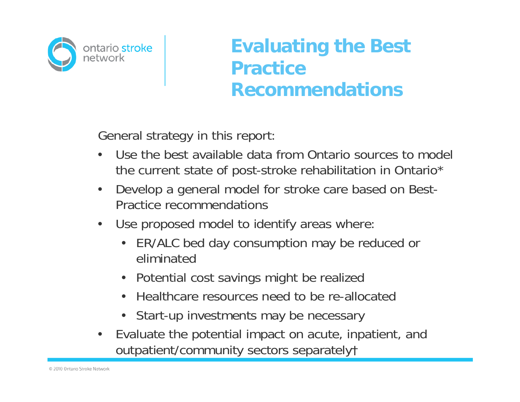

#### **Evaluating the Best PracticeRecommendations**

General strategy in this report:

- • Use the best available data from Ontario sources to model the current state of post-stroke rehabilitation in Ontario\*
- • Develop a general model for stroke care based on Best-Practice recommendations
- $\bullet$ Use proposed model to identify areas where:
	- ER/ALC bed day consumption may be reduced or eliminated
	- Potential cost savings might be realized
	- Healthcare resources need to be re-allocated
	- Start-up investments may be necessary
- • Evaluate the potential impact on acute, inpatient, and outpatient/community sectors separately†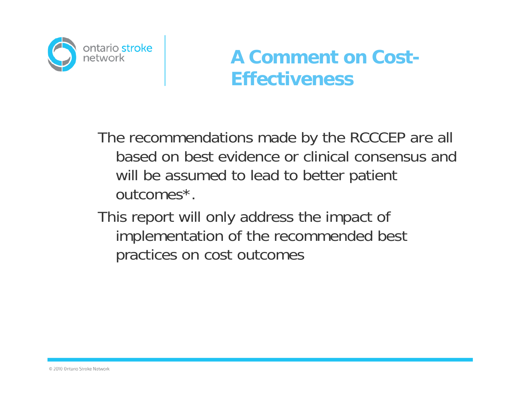

#### **A Comment on Cost-Eff ti ec veness**

The recommendations made by the RCCCEP are all based on best evidence or clinical consensus and will be assumed to lead to better patient outcomes\*.

This report will only address the impact of implementation of the recommended best practices on cost outcomes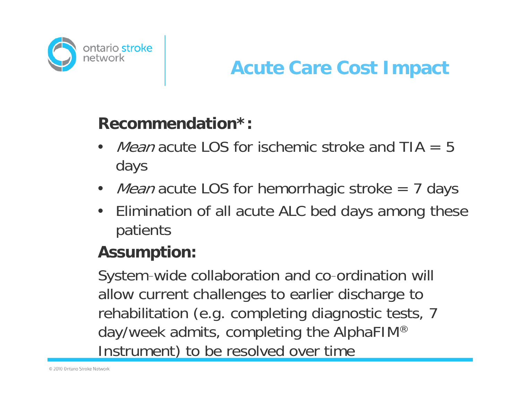

#### **Recommendation : \***

- •• *Mean* acute LOS for ischemic stroke and TIA =  $5$ days
- *Mean* acute LOS for hemorrhagic stroke = 7 days
- • Elimination of all acute ALC bed days among these patients

#### **Assumption:**

System-wide collaboration and co-ordination will allow current challenges to earlier discharge to rehabilitation (e.g. completing diagnostic tests, 7 day/week admits, completing the AlphaFIM® Instrument) to be resolved over time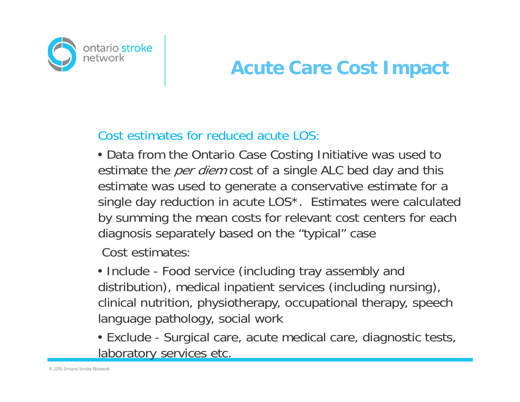

Cost estimates for reduced acute LOS:

• Data from the Ontario Case Costing Initiative was used to estimate the *per diem* cost of a single ALC bed day and this estimate was used to generate a conservative estimate for a single day reduction in acute LOS\*. Estimates were calculated by summing the mean costs for relevant cost centers for each diagnosis separately based on the "typical" case

Cost estimates:

• Include - Food service (including tray assembly and distribution), medical inpatient services (including nursing), clinical nutrition, physiotherapy, occupational therapy, speech language pathology, social work

• Exclude - Surgical care, acute medical care, diagnostic tests, laboratory services etc.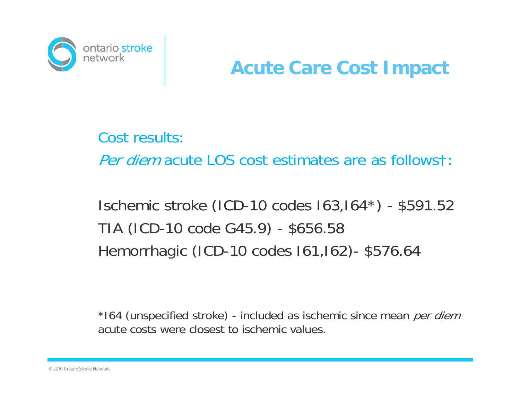

Cost results:

Per diem acute LOS cost estimates are as followst:

Ischemic stroke (ICD-10 codes I63,I64\*) - \$591.52 TIA (ICD-10 code G45.9) - \$656.58 Hemorrhagic (ICD-10 codes I61,I62)- \$576.64

\*164 (unspecified stroke) - included as ischemic since mean *per diem* acute costs were closest to ischemic values.

© 2010 Ontario Stroke Network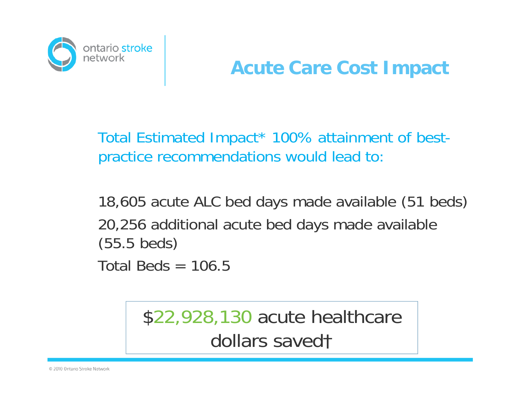

Total Estimated Impact\* 100% attainment of bestpractice recommendations would lead to:

18,605 acute ALC bed days made available (51 beds) 20,256 additional acute bed days made available (55.5 beds) Total Beds  $= 106.5$ 

> \$22,928,130 acute healthcare dollars saved†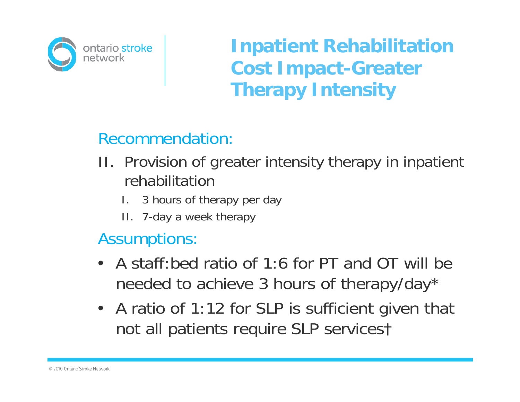

**Inpatient Rehabilitation Cost Impact -Greater Therapy Intensity** 

#### Recommendation:

- II. Provision of greater intensity therapy in inpatient rehabilitation
	- I. 3 hours of therapy per day
	- II. 7-day a week therapy

#### Assumptions:

- A staff:bed ratio of 1:6 for PT and OT will be needed to achieve 3 hours of therapy/day\*
- A ratio of 1:12 for SLP is sufficient given that not all patients require SLP servicest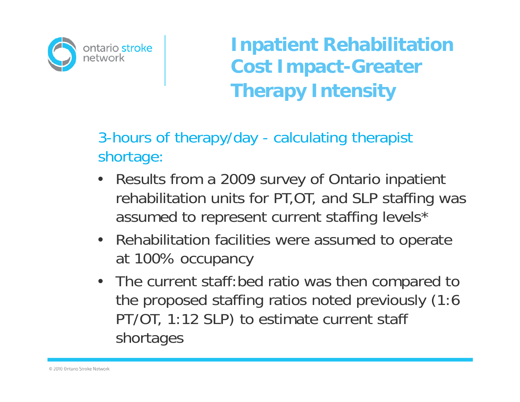

**Inpatient Rehabilitation Cost Im pact-Greater Therapy Intensity**

3-hours of therapy/day - calculating therapist shortage:

- •• Results from a 2009 survey of Ontario inpatient rehabilitation units for PT,OT, and SLP staffing was assumed to represent current staffing levels\*
- Rehabilitation facilities were assumed to operate at 100% occupancy
- The current staff:bed ratio was then compared to the proposed staffing ratios noted previously (1:6 PT/OT, 1:12 SLP) to estimate current staff shortages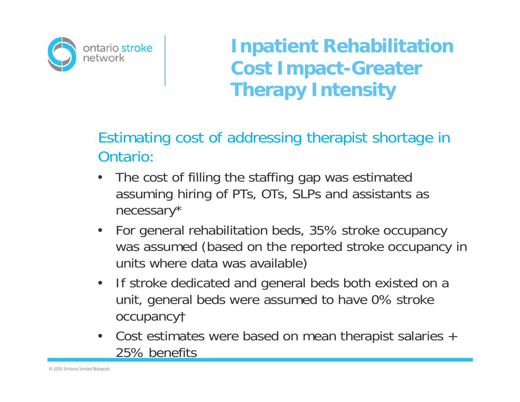

**Inpatient Rehabilitation Cost Impact -Greater Therapy Intensity** 

#### Estimating cost of addressing therapist shortage in Ontario:

- • The cost of filling the staffing gap was estimated assuming hiring of PTs, OTs, SLPs and assistants as necessary\*
- •• For general rehabilitation beds, 35% stroke occupancy was assumed (based on the reported stroke occupancy in units where data was available)
- $\bullet$ • If stroke dedicated and general beds both existed on a unit, general beds were assumed to have 0% stroke occupancy†
- • Cost estimates were based on mean therapist salaries + 25% benefits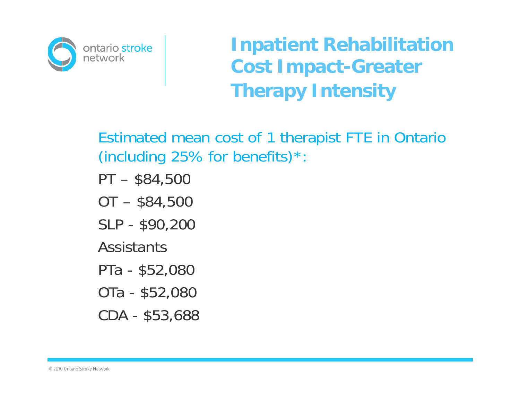

**Inpatient Rehabilitation Cost Im pact-Greater Therapy Intensity**

Estimated mean cost of 1 therapist FTE in Ontario (including 25% for benefits) $*$ :

PT – \$84,500

- OT \$84,500
- SLP \$90,200

**Assistants** 

- PTa \$52,080
- OTa \$52,080

CDA - \$53,688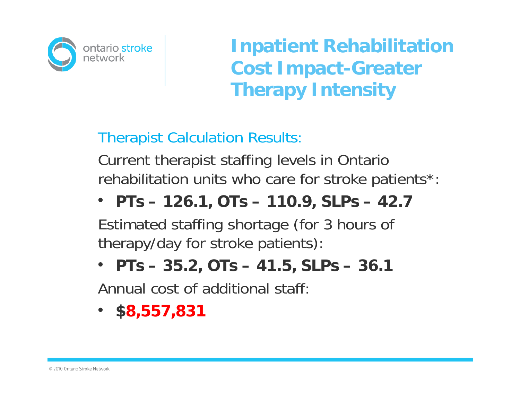

**Inpatient Rehabilitation Cost Impact -Greater Therapy Intensity** 

Therapist Calculation Results:

Current therapist staffing levels in Ontario rehabilitation units who care for stroke patients\*:

#### • **PTs – 126.1, OTs – 110.9, SLPs – 42.7**

Estimated staffing shortage (for 3 hours of therapy/day for stroke patients):

• **PTs – 35.2, OTs – 41.5, SLPs – 36.1**

Annual cost of additional staff:

• **\$8,557,831**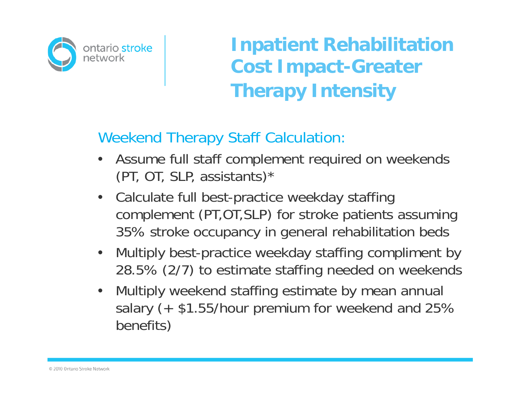

**Inpatient Rehabilitation Cost Im pact-Greater Therapy Intensity**

#### Weekend Therapy Staff Calculation:

- • Assume full staff complement required on weekends (PT, OT, SLP, assistants)\*
- $\bullet$  Calculate full best-practice weekday staffing complement (PT,OT,SLP) for stroke patients assuming 35% stroke occupancy in general rehabilitation beds
- • Multiply best-practice weekday staffing compliment by 28.5% (2/7) to estimate staffing needed on weekends
- • Multiply weekend staffing estimate by mean annual salary (+ \$1.55/hour premium for weekend and 25% benefits)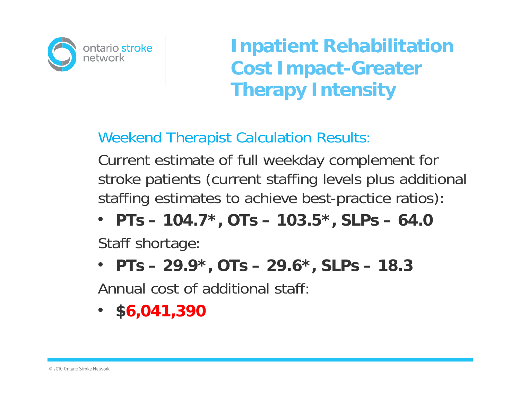

**Inpatient Rehabilitation Cost Impact -Greater Therapy Intensity** 

Weekend Therapist Calculation Results:

Current estimate of full weekday complement for stroke patients (current staffing levels plus additional staffing estimates to achieve best-practice ratios):

• PTs – 104.7\*, OTs – 103.5\*, SLPs – 64.0

Staff shortage:

• **PTs – 29.9\*, OTs – 29.6\*, SLPs – 18.3**

Annual cost of additional staff:

•**\$6,041,390**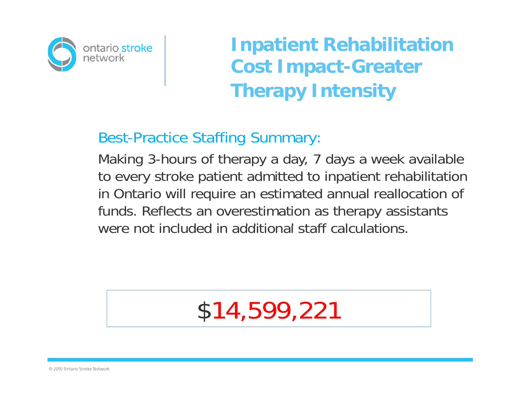

**Inpatient Rehabilitation Cost Im pact-Greater Therapy Intensity**

#### Best-Practice Staffing Summary:

Making 3-hours of therapy a day, 7 days a week available to every stroke patient admitted to inpatient rehabilitation in Ontario will require an estimated annual reallocation of funds. Reflects an overestimation as therapy assistants were not included in additional staff calculations.

## \$14,599,221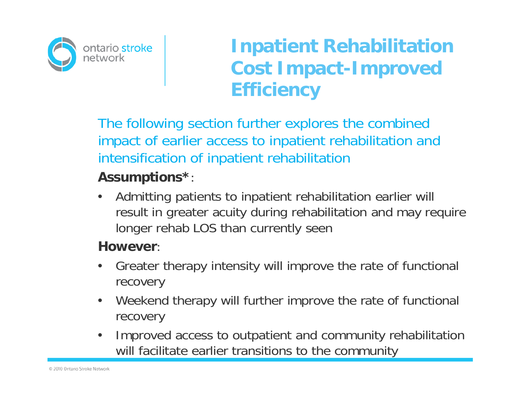

The following section further explores the combined impact of earlier access to inpatient rehabilitation and intensification of inpatient rehabilitation

#### **Assumptions\***:

 $\bullet$  Admitting patients to inpatient rehabilitation earlier will result in greater acuity during rehabilitation and may require longer rehab LOS than currently seen

#### **However**:

- • Greater therapy intensity will improve the rate of functional recovery
- $\bullet$  Weekend therapy will further improve the rate of functional recovery
- • Improved access to outpatient and community rehabilitation will facilitate earlier transitions to the community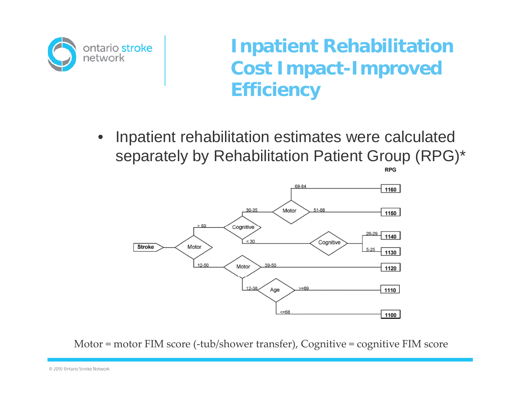

• Inpatient rehabilitation estimates were calculated separately by Rehabilitation Patient Group (RPG)\*



Motor = motor FIM score (‐tub/shower transfer), Cognitive = cognitive FIM score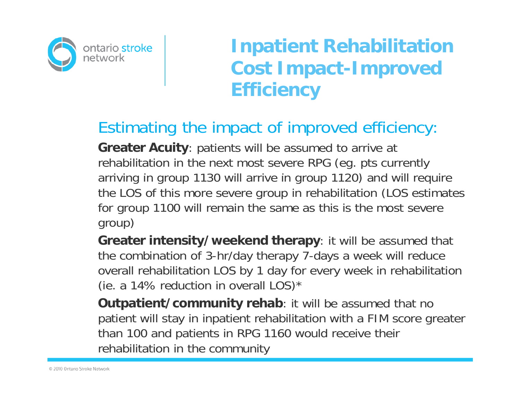

#### Estimating the impact of improved efficiency:

**Greater Acuity**: patients will be assumed to arrive at rehabilitation in the next most severe RPG (eg. pts currently arriving in group 1130 will arrive in group 1120) and will require the LOS of this more severe group in rehabilitation (LOS estimates for group 1100 will remain the same as this is the most severe group)

**Greater intensity/weekend therapy**: it will be assumed that the combination of 3-hr/day therapy 7-days a week will reduce overall rehabilitation LOS by 1 day for every week in rehabilitation (ie. a 14% reduction in overall  $LOS)^*$ 

**Outpatient/community rehab:** it will be assumed that no patient will stay in inpatient rehabilitation with a FIM score greater than 100 and patients in RPG 1160 would receive their rehabilitation in the community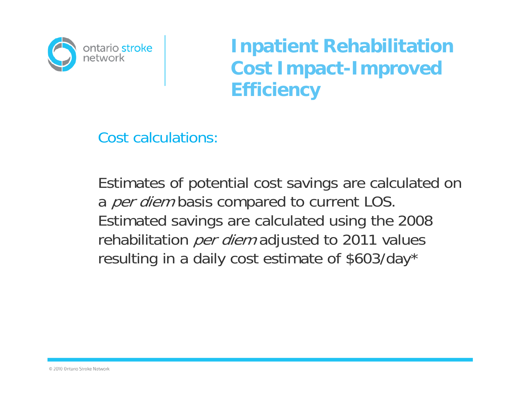

Cost calculations:

Estimates of potential cost savings are calculated on a *per diem* basis compared to current LOS. Estimated savings are calculated using the 2008 rehabilitation *per diem* adjusted to 2011 values resulting in a daily cost estimate of \$603/day\*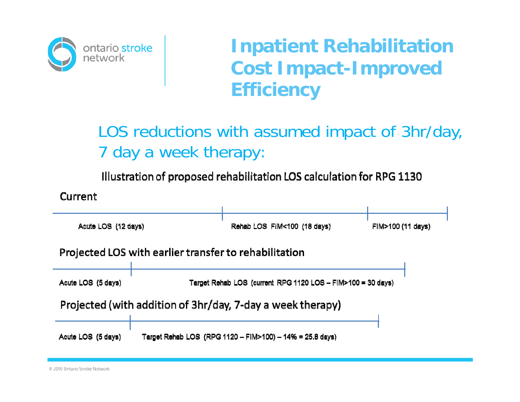

#### LOS reductions with assumed impact of 3hr/day, 7 day a week therapy:

Illustration of proposed rehabilitation LOS calculation for RPG 1130

Current



© 2010 Ontario Stroke Network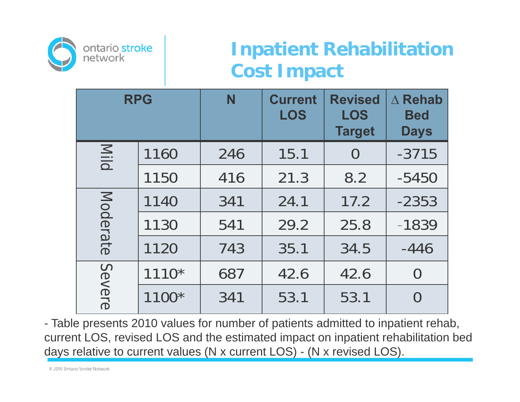

## **Inpatient Rehabilitation Cost Impact**

| <b>RPG</b> |         | N   | <b>Current</b><br><b>LOS</b> | <b>Revised</b><br><b>LOS</b><br><b>Target</b> | $\triangle$ Rehab<br><b>Bed</b><br><b>Days</b> |
|------------|---------|-----|------------------------------|-----------------------------------------------|------------------------------------------------|
| Mild       | 1160    | 246 | 15.1                         | $\bigcup$                                     | $-3715$                                        |
|            | 1150    | 416 | 21.3                         | 8.2                                           | $-5450$                                        |
| Moderate   | 1140    | 341 | 24.1                         | 17.2                                          | $-2353$                                        |
|            | 1130    | 541 | 29.2                         | 25.8                                          | $-1839$                                        |
|            | 1120    | 743 | 35.1                         | 34.5                                          | $-446$                                         |
| Severe     | $1110*$ | 687 | 42.6                         | 42.6                                          | $\rm{O}$                                       |
|            | 1100*   | 341 | 53.1                         | 53.1                                          | $\bigcap$                                      |

- Table presents 2010 values for number of patients admitted to inpatient rehab, current LOS, revised LOS and the estimated impact on inpatient rehabilitation bed days relative to current values (N x current LOS) - (N x revised LOS).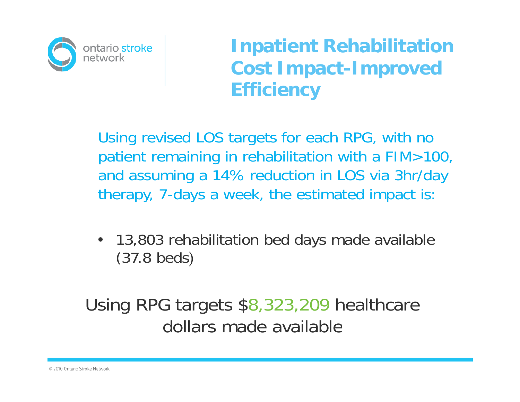

Using revised LOS targets for each RPG, with no patient remaining in rehabilitation with a FIM>100, and assuming <sup>a</sup> 14% reduction in LOS via 3hr/day therapy, 7-days a week, the estimated impact is:

• 13,803 rehabilitation bed days made available (37.8 beds)

Using RPG targets \$8,323,209 healthcare dollars made available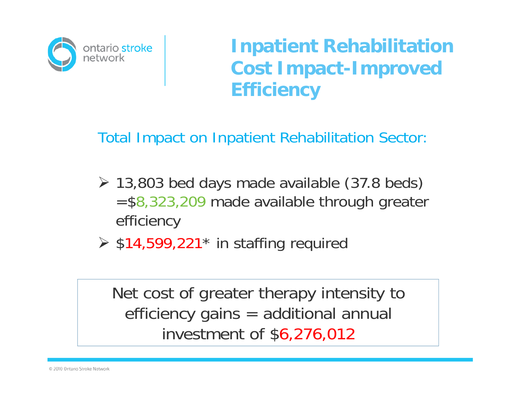

Total Impact on Inpatient Rehabilitation Sector:

- 13,803 bed days made available (37.8 beds)  $=$  \$8,323,209 made available through greater efficiency
- $\triangleright$  \$14,599,221\* in staffing required

Net cost of greater therapy intensity to efficiency gains = additional annual investment of \$6,276,012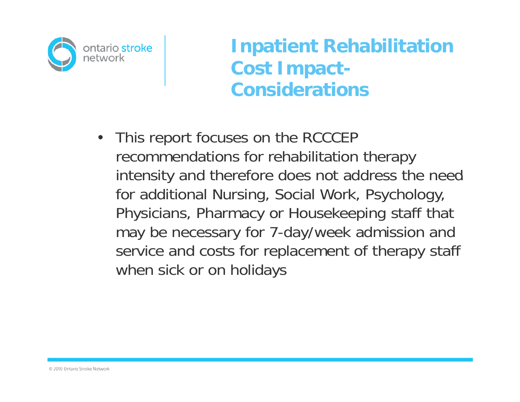

**Inpatient Rehabilitation Cost Impact - Considerations**

• This report focuses on the RCCCEP recommendations for rehabilitation therapy intensity and therefore does not address the need for additional Nursing, Social Work, Psychology, Physicians, Pharmacy or Housekeeping staff that may be necessary for 7-day/week admission and service and costs for replacement of therapy staff when sick or on holida y s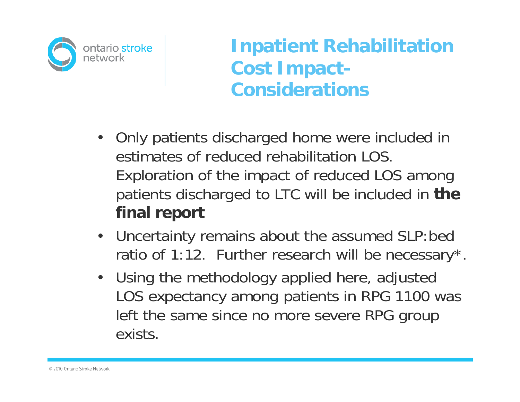

**Inpatient Rehabilitation Cost Impact - Considerations**

- Only patients discharged home were included in estimates of reduced rehabilitation LOS. Exploration of the impact of reduced LOS among patients discharged to LTC will be included in **the final report**
- Uncertainty remains about the assumed SLP:bed ratio of 1:12. Further research will be necessary\*.
- Using the methodology applied here, adjusted LOS expectancy among patients in RPG 1100 was left the same since no more severe RPG group exists.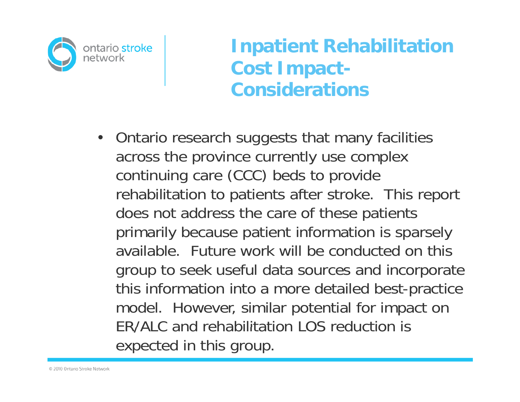

#### **Inpatient Rehabilitation Cost Impact - Considerations**

• Ontario research suggests that many facilities across the province currently use complex continuing care (CCC) beds to provide rehabilitation to patients after stroke. This report does not address the care of these patients primarily because patient information is sparsely available. Future work will be conducted on this group to seek useful data sources and incorporate this information into a more detailed best-practice model. However, similar potential for impact on ER/ALC and rehabilitation LOS reduction is expected in this group.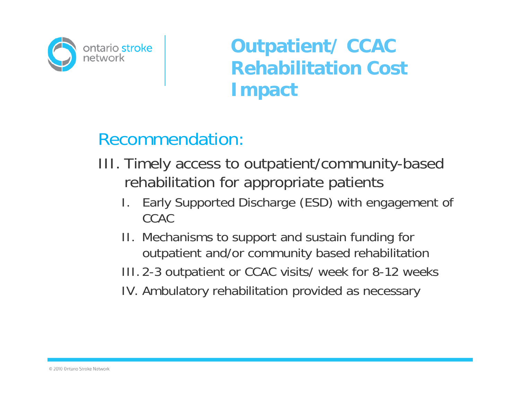

#### Recommendation:

- III. Timely access to outpatient/community-based rehabilitation for appropriate patients
	- I. Early Supported Discharge (ESD) with engagement of CCAC
	- II. Mechanisms to support and sustain funding for outpatient and/or community based rehabilitation
	- III. 2-3 outpatient or CCAC visits/ week for 8-12 weeks
	- IV. Ambulatory rehabilitation provided as necessary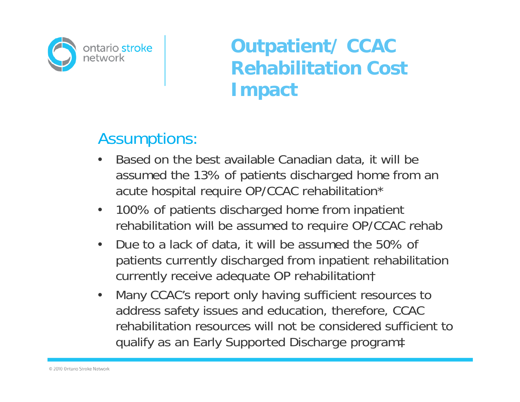

#### Assumptions:

- • Based on the best available Canadian data, it will be assumed the 13% of patients discharged home from an acute hospital require OP/CCAC rehabilitation\*
- $\bullet$  100% of patients discharged home from inpatient rehabilitation will be assumed to require OP/CCAC rehab
- • Due to a lack of data, it will be assumed the 50% of patients currently discharged from inpatient rehabilitation currently receive adequate OP rehabilitation†
- • Many CCAC's report only having sufficient resources to address safety issues and education, therefore, CCAC rehabilitation resources will not be considered sufficient to qualify as an Early Supported Discharge program‡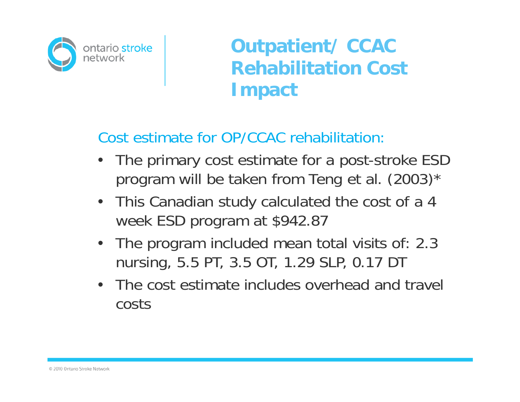

Cost estimate for OP/CCAC rehabilitation:

- • The primary cost estimate for a post-stroke ESD program will be taken from Teng et al. (2003)\*
- This Canadian study calculated the cost of a 4 week ESD program at \$942.87
- • The program included mean total visits of: 2.3 nursing, 5.5 PT, 3.5 OT, 1.29 SLP, 0.17 DT
- •The cost estimate includes overhead and travel costs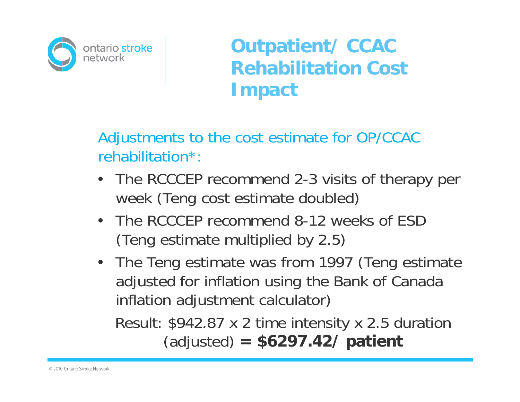

Adjustments to the cost estimate for OP/CCAC rehabilitation\*:

- •• The RCCCEP recommend 2-3 visits of therapy per week (Teng cost estimate doubled)
- •The RCCCEP recommend 8-12 weeks of ESD (Teng estimate multiplied by 2.5)
- The Teng estimate was from 1997 (Teng estimate adjusted for inflation using the Bank of Canada inflation adjustment calculator)

Result: \$942.87 <sup>x</sup> 2 time intensity <sup>x</sup> 2.5 duration 2 (adjusted) **= \$6297.42/ patient**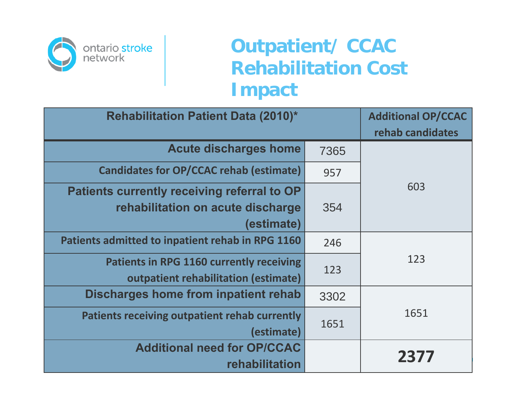

| <b>Rehabilitation Patient Data (2010)*</b>                                                     | <b>Additional OP/CCAC</b><br>rehab candidates |      |  |  |
|------------------------------------------------------------------------------------------------|-----------------------------------------------|------|--|--|
| <b>Acute discharges home</b>                                                                   | 7365                                          |      |  |  |
| <b>Candidates for OP/CCAC rehab (estimate)</b>                                                 | 957                                           |      |  |  |
| Patients currently receiving referral to OP<br>rehabilitation on acute discharge<br>(estimate) | 354                                           | 603  |  |  |
| Patients admitted to inpatient rehab in RPG 1160<br>246                                        |                                               |      |  |  |
| <b>Patients in RPG 1160 currently receiving</b><br>outpatient rehabilitation (estimate)        | 123                                           | 123  |  |  |
| Discharges home from inpatient rehab                                                           | 3302                                          |      |  |  |
| Patients receiving outpatient rehab currently<br>(estimate)                                    | 1651                                          | 1651 |  |  |
| <b>Additional need for OP/CCAC</b><br>rehabilitation                                           |                                               | 2377 |  |  |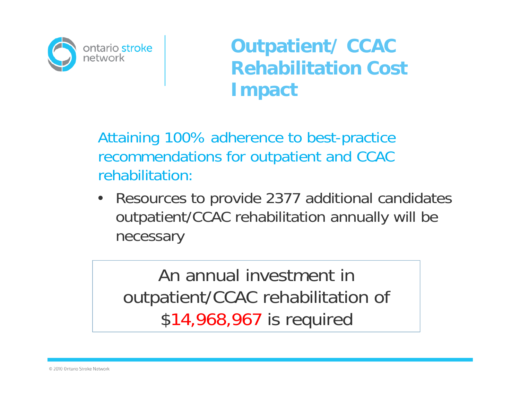

Attaining 100% adherence to best-practice recommendations for outpatient and CCAC rehabilitation:

• Resources to provide 2377 additional candidates outpatient/CCAC rehabilitation annually will be necessary

An annual investment in outpatient/CCAC rehabilitation of \$14,968,967 is required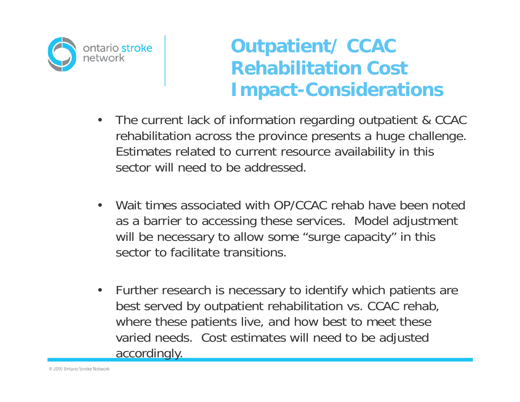ontario stroke network

## **Outpatient/ CCAC Rehabilitation Cost Cost Impact-Considerations**

- •The current lack of information regarding outpatient & CCAC rehabilitation across the province presents a huge challenge. Estimates related to current resource availability in this sector will need to be addressed.
- • Wait times associated with OP/CCAC rehab have been noted as a barrier to accessing these services. Model adjustment will be necessary to allow some "surge capacity" in this sector to facilitate transitions.
- $\bullet$  Further research is necessary to identify which patients are best served by outpatient rehabilitation vs. CCAC rehab, where these patients live, and how best to meet these varied needs. Cost estimates will need to be adjusted accordingly.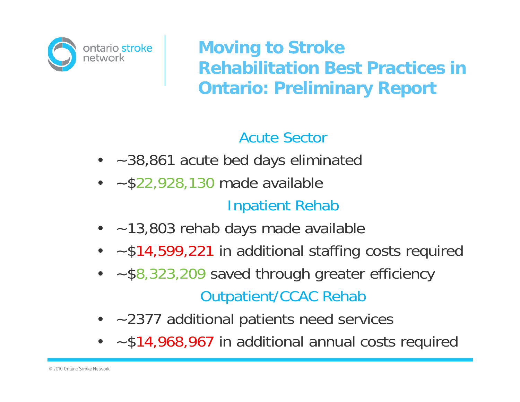

**Moving to Stroke Re ab tat o est act ces habilitation Best Practices in Ontario: Preliminary Report**

#### Acute Sector

- ~38,861 acute bed days eliminated
- $\bullet$   $\sim$  \$22,928,130 made available Inpatient Rehab
- ~13,803 rehab days made available
- ~\$14,599,221 in additional staffing costs required
- ~\$8,323,209 saved through greater efficiency Outpatient/CCAC Rehab
- ~2377 additional patients need services
- ~\$14,968,967 in additional annual costs required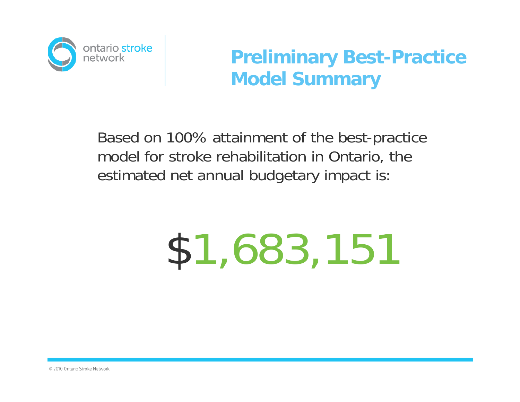

#### **Preliminary Best-Practice Model Summary**

Based on 100% attainment of the best-practice model for stroke rehabilitation in Ontario, the estimated net annual budgetary impact is:

# \$1,683,151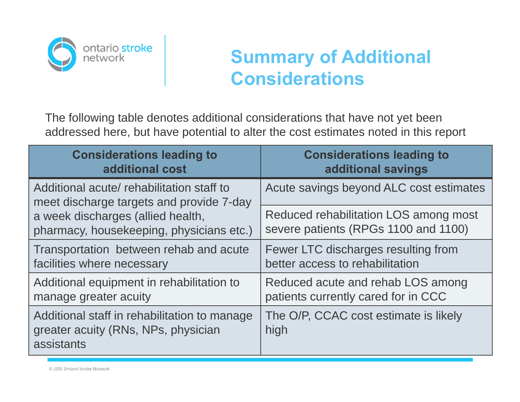

## **Summary of Additional Considerations**

The following table denotes additional considerations that have not yet been addressed here, but have potential to alter the cost estimates noted in this report

| <b>Considerations leading to</b>                                                                  | <b>Considerations leading to</b>              |  |
|---------------------------------------------------------------------------------------------------|-----------------------------------------------|--|
| additional cost                                                                                   | additional savings                            |  |
| Additional acute/ rehabilitation staff to<br>meet discharge targets and provide 7-day             | Acute savings beyond ALC cost estimates       |  |
| a week discharges (allied health,                                                                 | Reduced rehabilitation LOS among most         |  |
| pharmacy, housekeeping, physicians etc.)                                                          | severe patients (RPGs 1100 and 1100)          |  |
| Transportation between rehab and acute                                                            | Fewer LTC discharges resulting from           |  |
| facilities where necessary                                                                        | better access to rehabilitation               |  |
| Additional equipment in rehabilitation to                                                         | Reduced acute and rehab LOS among             |  |
| manage greater acuity                                                                             | patients currently cared for in CCC           |  |
| Additional staff in rehabilitation to manage<br>greater acuity (RNs, NPs, physician<br>assistants | The O/P, CCAC cost estimate is likely<br>high |  |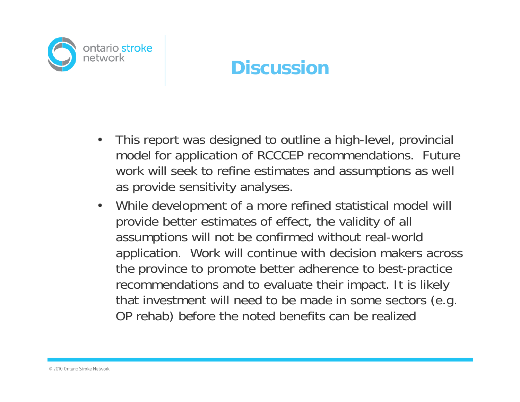

#### **Discussion**

- • This report was designed to outline a high-level, provincial model for application of RCCCEP recommendations. Future work will seek to refine estimates and assumptions as well as provide sensitivity analyses.
- • While development of a more refined statistical model will provide better estimates of effect, the validity of all assumptions will not be confirmed without real-world application. Work will continue with decision makers across the province to promote better adherence to best-practice recommendations and to evaluate their impact. It is likely that investment will need to be made in some sectors (e.g. OP rehab) before the noted benefits can be realized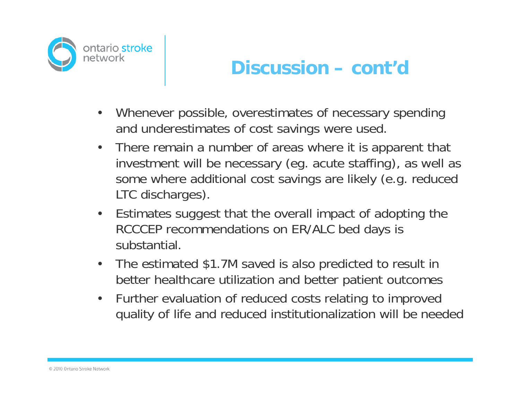

#### **Discussion – cont d'**

- • Whenever possible, overestimates of necessary spending and underestimates of cost savings were used.
- • There remain a number of areas where it is apparent that investment will be necessary (eg. acute staffing), as well as some where additional cost savings are likely (e.g. reduced LTC discharges).
- • Estimates suggest that the overall impact of adopting the RCCCEP recommendations on ER/ALC bed days is substantial.
- • The estimated \$1.7M saved is also predicted to result in better health care utilization and better patient outcomes
- • Further evaluation of reduced costs relating to improved quality of life and reduced institutionalization will be needed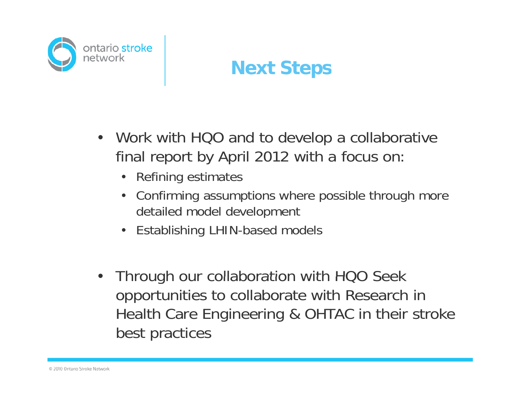

#### **Next Steps**

- Work with HQO and to develop a collaborative final report by April 2012 with a focus on:
	- Refining estimates
	- Confirming assumptions where possible through more detailed model development
	- Establishing LHIN-based models
- Through our collaboration with HQO Seek opportunities to collaborate with Research in Health Care Engineering & OHTAC in their stroke best practices